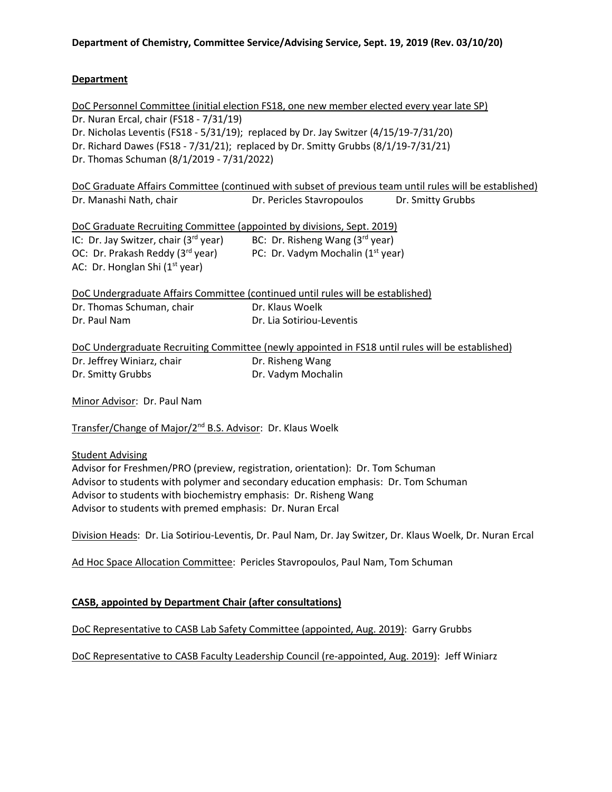# **Department**

| DoC Personnel Committee (initial election FS18, one new member elected every year late SP)              |                                             |  |
|---------------------------------------------------------------------------------------------------------|---------------------------------------------|--|
| Dr. Nuran Ercal, chair (FS18 - 7/31/19)                                                                 |                                             |  |
| Dr. Nicholas Leventis (FS18 - 5/31/19); replaced by Dr. Jay Switzer $(4/15/19-7/31/20)$                 |                                             |  |
| Dr. Richard Dawes (FS18 - 7/31/21); replaced by Dr. Smitty Grubbs (8/1/19-7/31/21)                      |                                             |  |
| Dr. Thomas Schuman (8/1/2019 - 7/31/2022)                                                               |                                             |  |
| DoC Graduate Affairs Committee (continued with subset of previous team until rules will be established) |                                             |  |
| Dr. Manashi Nath, chair                                                                                 | Dr. Pericles Stavropoulos Dr. Smitty Grubbs |  |
| DoC Graduate Recruiting Committee (appointed by divisions, Sept. 2019)                                  |                                             |  |
| IC: Dr. Jay Switzer, chair $(3^{rd}$ year)                                                              | BC: Dr. Risheng Wang $(3rd$ year)           |  |
| OC: Dr. Prakash Reddy (3 <sup>rd</sup> year) PC: Dr. Vadym Mochalin (1 <sup>st</sup> year)              |                                             |  |
| AC: Dr. Honglan Shi $(1st$ year)                                                                        |                                             |  |
| DoC Undergraduate Affairs Committee (continued until rules will be established)                         |                                             |  |
| Dr. Thomas Schuman, chair                                                                               | Dr. Klaus Woelk                             |  |
| Dr. Paul Nam                                                                                            | Dr. Lia Sotiriou-Leventis                   |  |
| DoC Undergraduate Recruiting Committee (newly appointed in FS18 until rules will be established)        |                                             |  |

Dr. Jeffrey Winiarz, chair **Dr. Risheng Wang** Dr. Smitty Grubbs Dr. Vadym Mochalin

Minor Advisor: Dr. Paul Nam

Transfer/Change of Major/2nd B.S. Advisor: Dr. Klaus Woelk

#### Student Advising

Advisor for Freshmen/PRO (preview, registration, orientation): Dr. Tom Schuman Advisor to students with polymer and secondary education emphasis: Dr. Tom Schuman Advisor to students with biochemistry emphasis: Dr. Risheng Wang Advisor to students with premed emphasis: Dr. Nuran Ercal

Division Heads: Dr. Lia Sotiriou-Leventis, Dr. Paul Nam, Dr. Jay Switzer, Dr. Klaus Woelk, Dr. Nuran Ercal

Ad Hoc Space Allocation Committee: Pericles Stavropoulos, Paul Nam, Tom Schuman

# **CASB, appointed by Department Chair (after consultations)**

DoC Representative to CASB Lab Safety Committee (appointed, Aug. 2019): Garry Grubbs

DoC Representative to CASB Faculty Leadership Council (re-appointed, Aug. 2019): Jeff Winiarz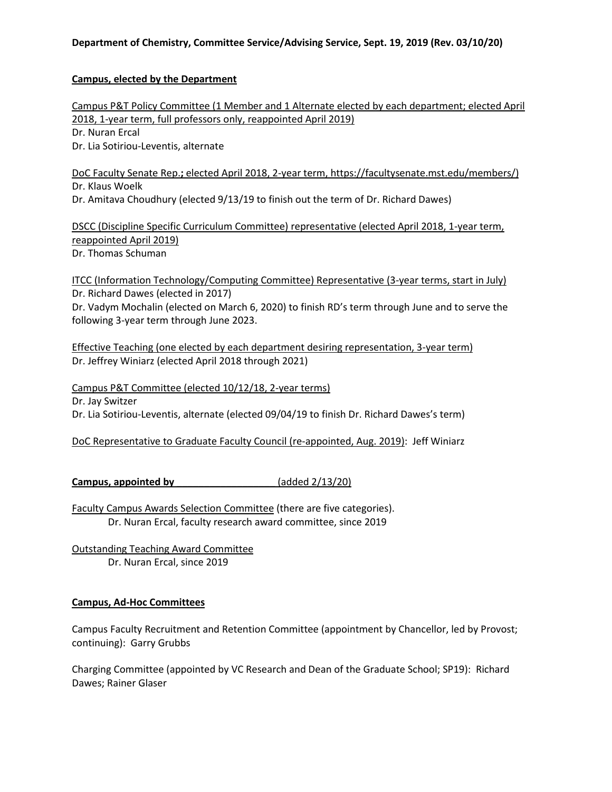# **Department of Chemistry, Committee Service/Advising Service, Sept. 19, 2019 (Rev. 03/10/20)**

## **Campus, elected by the Department**

Campus P&T Policy Committee (1 Member and 1 Alternate elected by each department; elected April 2018, 1-year term, full professors only, reappointed April 2019) Dr. Nuran Ercal Dr. Lia Sotiriou-Leventis, alternate

DoC Faculty Senate Rep.**;** elected April 2018, 2-year term, https://facultysenate.mst.edu/members/) Dr. Klaus Woelk Dr. Amitava Choudhury (elected 9/13/19 to finish out the term of Dr. Richard Dawes)

DSCC (Discipline Specific Curriculum Committee) representative (elected April 2018, 1-year term, reappointed April 2019) Dr. Thomas Schuman

ITCC (Information Technology/Computing Committee) Representative (3-year terms, start in July) Dr. Richard Dawes (elected in 2017)

Dr. Vadym Mochalin (elected on March 6, 2020) to finish RD's term through June and to serve the following 3-year term through June 2023.

Effective Teaching (one elected by each department desiring representation, 3-year term) Dr. Jeffrey Winiarz (elected April 2018 through 2021)

Campus P&T Committee (elected 10/12/18, 2-year terms) Dr. Jay Switzer Dr. Lia Sotiriou-Leventis, alternate (elected 09/04/19 to finish Dr. Richard Dawes's term)

DoC Representative to Graduate Faculty Council (re-appointed, Aug. 2019): Jeff Winiarz

**Campus, appointed by \_\_\_\_\_\_\_\_\_\_\_\_\_\_\_\_\_\_** (added 2/13/20)

Faculty Campus Awards Selection Committee (there are five categories). Dr. Nuran Ercal, faculty research award committee, since 2019

Outstanding Teaching Award Committee Dr. Nuran Ercal, since 2019

# **Campus, Ad-Hoc Committees**

Campus Faculty Recruitment and Retention Committee (appointment by Chancellor, led by Provost; continuing): Garry Grubbs

Charging Committee (appointed by VC Research and Dean of the Graduate School; SP19): Richard Dawes; Rainer Glaser